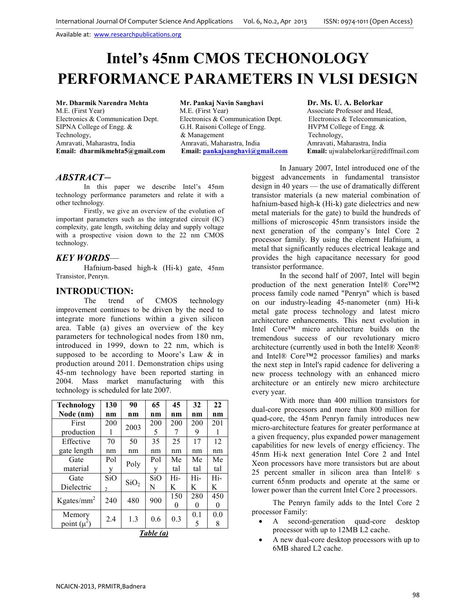# **Intel's 45nm CMOS TECHONOLOGY PERFORMANCE PARAMETERS IN VLSI DESIGN**

M.E. (First Year) M.E. (First Year) M.E. (First Year) Associate Professor and Head,<br>Electronics & Communication Dept. Electronics & Communication Dept. Electronics & Telecommunication, SIPNA College of Engg. & G.H. Raisoni College of Engg. HVPM College of Engg. & Technology, and Technology, and Technology, and Technology, Amravati, Maharastra, India and Technology, Amravati, Maharastra, India and Amravati, Maharastra, India and Technology, Amravati, Maharastra, India and Amravati, **Email: dharmikmehta5@gmail.com Email: pankajsanghavi@gmail.com Email:** ujwalabelorkar@rediffmail.com

**Mr. Dharmik Narendra Mehta Mr. Pankaj Navin Sanghavi <b>Dr. Ms. U. A. Belorkar M.E.** (First Year) **M.E.** (First Year) **M.E.** (First Year) **Associate Professor and He** Electronics & Communication Dept. Amravati, Maharastra, India *Amravati, Maharastra, India* Amravati, Maharastra, India **Email:** ujwalabelorkar@redi

## *ABSTRACT—*

In this paper we describe Intel's 45nm technology performance parameters and relate it with a other technology*.* 

Firstly, we give an overview of the evolution of important parameters such as the integrated circuit (IC) complexity, gate length, switching delay and supply voltage with a prospective vision down to the 22 nm CMOS technology.

## *KEY WORDS*—

Hafnium-based high-k (Hi-k) gate, 45nm Transistor, Penryn.

## **INTRODUCTION:**

The trend of CMOS technology improvement continues to be driven by the need to integrate more functions within a given silicon area. Table (a) gives an overview of the key parameters for technological nodes from 180 nm, introduced in 1999, down to 22 nm, which is supposed to be according to Moore's Law & in production around 2011. Demonstration chips using 45-nm technology have been reported starting in 2004. Mass market manufacturing with this technology is scheduled for late 2007.

| <b>Technology</b> | 130            | 90               | 65  | 45  | 32  | 22  |
|-------------------|----------------|------------------|-----|-----|-----|-----|
| Node (nm)         | nm             | nm               | nm  | nm  | nm  | nm  |
| First             | 200            | 2003             | 200 | 200 | 200 | 201 |
| production        |                |                  | 5   |     | 9   |     |
| Effective         | 70             | 50               | 35  | 25  | 17  | 12  |
| gate length       | nm             | nm               | nm  | nm  | nm  | nm  |
| Gate              | Pol            | Poly             | Pol | Me  | Me  | Me  |
| material          | У              |                  | y   | tal | tal | tal |
| Gate              | SiO            | SiO <sub>2</sub> | SiO | Hi- | Hi- | Hi- |
| Dielectric        | $\mathfrak{D}$ |                  | N   | K   | K   | K   |
| Kgates/ $mm2$     | 240            | 480              | 900 | 150 | 280 | 450 |
|                   |                |                  |     |     |     | 0   |
| Memory            | 2.4            | 1.3              | 0.6 | 0.3 | 0.1 | 0.0 |
| point $(\mu^2)$   |                |                  |     |     | 5   | 8   |

|--|

In January 2007, Intel introduced one of the biggest advancements in fundamental transistor design in 40 years — the use of dramatically different transistor materials (a new material combination of hafnium-based high-k (Hi-k) gate dielectrics and new metal materials for the gate) to build the hundreds of millions of microscopic 45nm transistors inside the next generation of the company's Intel Core 2 processor family. By using the element Hafnium, a metal that significantly reduces electrical leakage and provides the high capacitance necessary for good transistor performance.

In the second half of 2007, Intel will begin production of the next generation Intel® Core™2 process family code named "Penryn" which is based on our industry-leading 45-nanometer (nm) Hi-k metal gate process technology and latest micro architecture enhancements. This next evolution in Intel Core™ micro architecture builds on the tremendous success of our revolutionary micro architecture (currently used in both the Intel® Xeon® and Intel® Core™2 processor families) and marks the next step in Intel's rapid cadence for delivering a new process technology with an enhanced micro architecture or an entirely new micro architecture every year.

With more than 400 million transistors for dual-core processors and more than 800 million for quad-core, the 45nm Penryn family introduces new micro-architecture features for greater performance at a given frequency, plus expanded power management capabilities for new levels of energy efficiency. The 45nm Hi-k next generation Intel Core 2 and Intel Xeon processors have more transistors but are about 25 percent smaller in silicon area than Intel® s current 65nm products and operate at the same or lower power than the current Intel Core 2 processors.

The Penryn family adds to the Intel Core 2 processor Family:

- A second-generation quad-core desktop processor with up to 12MB L2 cache.
- A new dual-core desktop processors with up to 6MB shared L2 cache.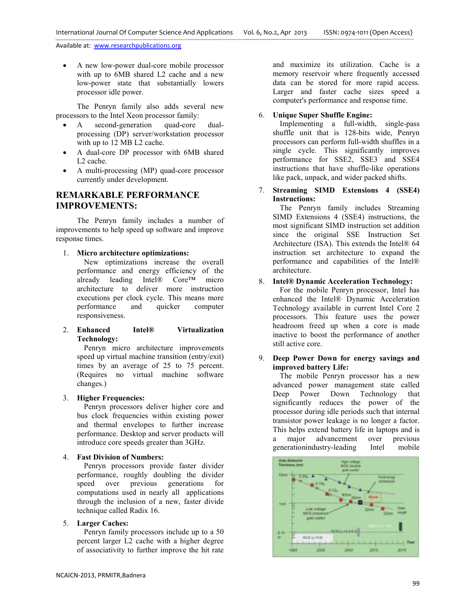• A new low-power dual-core mobile processor with up to 6MB shared L2 cache and a new low-power state that substantially lowers processor idle power.

The Penryn family also adds several new processors to the Intel Xeon processor family:

- A second-generation quad-core dualprocessing (DP) server/workstation processor with up to 12 MB L2 cache.
- A dual-core DP processor with 6MB shared L2 cache.
- A multi-processing (MP) quad-core processor currently under development.

## **REMARKABLE PERFORMANCE IMPROVEMENTS:**

The Penryn family includes a number of improvements to help speed up software and improve response times.

1. **Micro architecture optimizations:**

 New optimizations increase the overall performance and energy efficiency of the already leading Intel® Core™ micro architecture to deliver more instruction executions per clock cycle. This means more performance and quicker computer responsiveness.

## 2. **Enhanced Intel® Virtualization Technology:**

 Penryn micro architecture improvements speed up virtual machine transition (entry/exit) times by an average of 25 to 75 percent. (Requires no virtual machine software changes.)

## 3. **Higher Frequencies:**

 Penryn processors deliver higher core and bus clock frequencies within existing power and thermal envelopes to further increase performance. Desktop and server products will introduce core speeds greater than 3GHz.

#### 4. **Fast Division of Numbers:**

 Penryn processors provide faster divider performance, roughly doubling the divider speed over previous generations for computations used in nearly all applications through the inclusion of a new, faster divide technique called Radix 16.

## 5. **Larger Caches:**

 Penryn family processors include up to a 50 percent larger L2 cache with a higher degree of associativity to further improve the hit rate

and maximize its utilization. Cache is a memory reservoir where frequently accessed data can be stored for more rapid access. Larger and faster cache sizes speed a computer's performance and response time.

## 6. **Unique Super Shuffle Engine:**

 Implementing a full-width, single-pass shuffle unit that is 128-bits wide, Penryn processors can perform full-width shuffles in a single cycle. This significantly improves performance for SSE2, SSE3 and SSE4 instructions that have shuffle-like operations like pack, unpack, and wider packed shifts.

7. **Streaming SIMD Extensions 4 (SSE4) Instructions:**

 The Penryn family includes Streaming SIMD Extensions 4 (SSE4) instructions, the most significant SIMD instruction set addition since the original SSE Instruction Set Architecture (ISA). This extends the Intel® 64 instruction set architecture to expand the performance and capabilities of the Intel® architecture.

## 8. **Intel® Dynamic Acceleration Technology:**

 For the mobile Penryn processor, Intel has enhanced the Intel® Dynamic Acceleration Technology available in current Intel Core 2 processors. This feature uses the power headroom freed up when a core is made inactive to boost the performance of another still active core.

## 9. **Deep Power Down for energy savings and improved battery Life:**

 The mobile Penryn processor has a new advanced power management state called Deep Power Down Technology that significantly reduces the power of the processor during idle periods such that internal transistor power leakage is no longer a factor. This helps extend battery life in laptops and is<br>a major advancement over previous a major advancement over previous generationindustry-leading Intel mobile

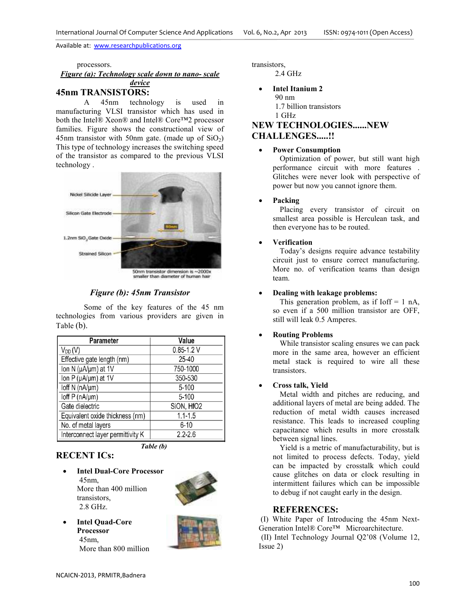processors.

#### *Figure (a): Technology scale down to nano- scale device*

## **45nm TRANSISTORS:**

 A 45nm technology is used in manufacturing VLSI transistor which has used in both the Intel® Xeon® and Intel® Core™2 processor families. Figure shows the constructional view of 45nm transistor with 50nm gate. (made up of  $SiO<sub>2</sub>$ ) This type of technology increases the switching speed of the transistor as compared to the previous VLSI technology .



## *Figure (b): 45nm Transistor*

 Some of the key features of the 45 nm technologies from various providers are given in Table (b).

| <b>Parameter</b>                  | Value          |  |  |
|-----------------------------------|----------------|--|--|
| $V_{DD}(V)$                       | $0.85 - 1.2$ V |  |  |
| Effective gate length (nm)        | 25-40          |  |  |
| lon N (µA/µm) at 1V               | 750-1000       |  |  |
| lon P (µA/µm) at 1V               | 350-530        |  |  |
| loff N (nA/µm)                    | $5 - 100$      |  |  |
| $\text{Ioff } P \text{ (nA/µm)}$  | $5 - 100$      |  |  |
| Gate dielectric                   | SiON, HfO2     |  |  |
| Equivalent oxide thickness (nm)   | $1.1 - 1.5$    |  |  |
| No. of metal layers               | $6 - 10$       |  |  |
| Interconnect layer permittivity K | $2.2 - 2.6$    |  |  |

*Table (b)*

## **RECENT ICs:**

• **Intel Dual-Core Processor**  45nm, More than 400 million transistors, 2.8 GHz.



• **Intel Quad-Core Processor**  45nm, More than 800 million

transistors, 2.4 GHz

> • **Intel Itanium 2**  90 nm 1.7 billion transistors 1 GHz

## **NEW TECHNOLOGIES......NEW**

## **CHALLENGES.....!!**

## • **Power Consumption**

 Optimization of power, but still want high performance circuit with more features . Glitches were never look with perspective of power but now you cannot ignore them.

## • **Packing**

 Placing every transistor of circuit on smallest area possible is Herculean task, and then everyone has to be routed.

## • **Verification**

 Today's designs require advance testability circuit just to ensure correct manufacturing. More no. of verification teams than design team.

## • **Dealing with leakage problems:**

This generation problem, as if Ioff  $= 1$  nA, so even if a 500 million transistor are OFF, still will leak 0.5 Amperes.

## • **Routing Problems**

 While transistor scaling ensures we can pack more in the same area, however an efficient metal stack is required to wire all these transistors.

## • **Cross talk, Yield**

 Metal width and pitches are reducing, and additional layers of metal are being added. The reduction of metal width causes increased resistance. This leads to increased coupling capacitance which results in more crosstalk between signal lines.

 Yield is a metric of manufacturability, but is not limited to process defects. Today, yield can be impacted by crosstalk which could cause glitches on data or clock resulting in intermittent failures which can be impossible to debug if not caught early in the design.

## **REFERENCES:**

 (I) White Paper of Introducing the 45nm Next-Generation Intel® Core™ Microarchitecture.

 (II) Intel Technology Journal Q2'08 (Volume 12, Issue 2)